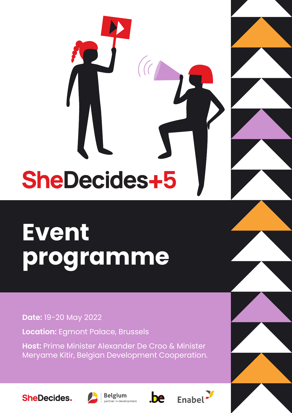# SheDecides+5

# **Event programme**

**Date:** 19-20 May 2022

**Location:** Egmont Palace, Brussels

**Host:** Prime Minister Alexander De Croo & Minister Meryame Kitir, Belgian Development Cooperation.





**Belgium** partner in development





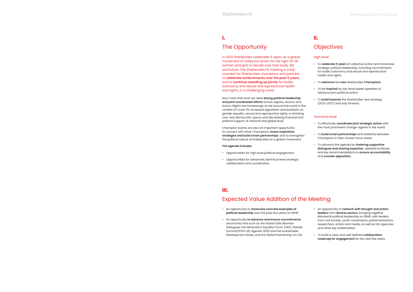# Expected Value Addition of the Meeting

In 2022 SheDecides celebrates 5 years as a global movement of collective action for the right for all women and girls to decide over their body, life and future. The SheDecides+5 meeting is a key moment for SheDecides champions and partners to **celebrate achievements over the past 5 years,** and to **continue standing up jointly** for bodily autonomy and sexual and reproductive health and rights, in a challenging world.

Now more than ever we need **strong political leadership and joint coordinated efforts** across regions, sectors and actors. Rights are increasingly at risk around the world in the context of Covid-19, increased opposition and backlash on gender equality, sexual and reproductive rights, a shrinking civic and democratic space, and decreasing financial and political support at national and global level.

Champion events are also an important opportunity to connect with other Champions, **renew inspiration, strategize and build smart partnerships**, and to strengthen the political nature of SheDecides as a global movement.

# **The agenda includes**

- Opportunities for high level political engagement.
- Opportunities for advanced, technical level strategic collaboration and coordination.

# High level

- To **celebrate 5 years** of collective action and showcase strategic political leadership, including commitments for bodily autonomy and sexual and reproductive health and rights.
- To **welcome** the **new** SheDecides **Champions.**
- To be **inspired** by top-level expert speakers to advance joint political action.
- To **build towards** the SheDecides new strategy (2022-2027) and way forward.

# Technical level

- To effectively **coordinate joint strategic action** with the most prominent change-agents in the world.
- To **build smart partnerships** and solidarity between Champions in their chosen focus areas.
- To advance the agenda by **fostering supportive dialogues and sharing expertise,** updated analyses and key recommendations to **ensure accountability** and **counter opposition.**

- An opportunity to **showcase concrete examples of political leadership** over the past five years on SRHR.
- An opportunity **to advance and ensure commitments** around key fora such as the Global Safe Abortion Dialogues, the Generation Equality Forum (GEF), Nairobi Summit/ICPD+25, Agenda 2030 and the Sustainable Development Goals, and the Global Partnership on CSE.

# **I. II.**

# **III.**

- An opportunity to **network with thought and action leaders** from **diverse sectors,** bringing together Ministerial political leadership on SRHR, with leaders from civil society, youth movements, parliamentarians, researchers, artists and media, as well as UN-agencies and other key stakeholders.
- To build a clear and well defined **collaborative roadmap for engagement** for the next five years.

# The Opportunity **Construction Construction Construction** Objectives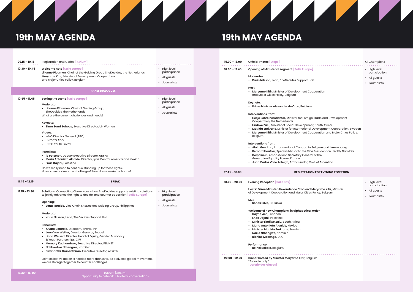Opportunity to network + bilateral conversations

# **A**  $\blacktriangle$  $\blacktriangleright$  $\overline{A}$  and  $\overline{A}$  and  $\overline{A}$  and  $\overline{A}$ <u>and the state of the state of the state of the state of the state of the state of the state of the state of the state of the state of the state of the state of the state of the state of the state of the state of the state</u>

|                                    | <b>AND AND AND A</b>                                                                                                                                                                                                                                                                                                                                                                                                                                                                                                                                                                                                                                                                                   |                                                                | $\overline{\phantom{a}}$ | $\blacktriangle$ /                                                                                                                                                                                                                                                                                                                                                                                                                                                                                                                                                                                                                                                                                                                                                                                                                                                                                                       |                                                                |  |
|------------------------------------|--------------------------------------------------------------------------------------------------------------------------------------------------------------------------------------------------------------------------------------------------------------------------------------------------------------------------------------------------------------------------------------------------------------------------------------------------------------------------------------------------------------------------------------------------------------------------------------------------------------------------------------------------------------------------------------------------------|----------------------------------------------------------------|--------------------------|--------------------------------------------------------------------------------------------------------------------------------------------------------------------------------------------------------------------------------------------------------------------------------------------------------------------------------------------------------------------------------------------------------------------------------------------------------------------------------------------------------------------------------------------------------------------------------------------------------------------------------------------------------------------------------------------------------------------------------------------------------------------------------------------------------------------------------------------------------------------------------------------------------------------------|----------------------------------------------------------------|--|
| <b>19th MAY AGENDA</b>             |                                                                                                                                                                                                                                                                                                                                                                                                                                                                                                                                                                                                                                                                                                        |                                                                | <b>19th MAY AGENDA</b>   |                                                                                                                                                                                                                                                                                                                                                                                                                                                                                                                                                                                                                                                                                                                                                                                                                                                                                                                          |                                                                |  |
| $09.15 - 10.15$                    | Registration and Coffee [Atrium]                                                                                                                                                                                                                                                                                                                                                                                                                                                                                                                                                                                                                                                                       |                                                                | $15.00 - 16.00$          | <b>Official Photos [Steps]</b>                                                                                                                                                                                                                                                                                                                                                                                                                                                                                                                                                                                                                                                                                                                                                                                                                                                                                           | All Champions                                                  |  |
| $10.30 - 10.45$                    | <b>Welcome note [Salle Europe]</b><br>Lilianne Ploumen, Chair of the Guiding Group SheDecides, the Netherlands<br>Meryame Kitir, Minister of Development Cooperation<br>and Major Cities Policy, Belgium                                                                                                                                                                                                                                                                                                                                                                                                                                                                                               | • High level<br>participation<br>• All guests<br>• Journalists | $16.00 - 17.45$          | <b>Opening of Ministerial segment [Salle Europe]</b><br><b>Moderator:</b><br>• Karin Nilsson, Lead, SheDecides Support Unit                                                                                                                                                                                                                                                                                                                                                                                                                                                                                                                                                                                                                                                                                                                                                                                              | • High level<br>participation<br>All guests<br>• Journalists   |  |
| $10.45 - 11.45$                    | <b>PANEL DIALOGUES</b><br>Setting the scene [Salle Europe]<br><b>Moderator:</b><br>• Lilianne Ploumen, Chair of Guiding Group,<br>SheDecides, the Netherlands<br>What are the current challenges and needs?<br>Keynote:<br>• Sima Sami Bahous, Executive Director, UN Women<br>Videos:<br>• WHO Director General (TBC)<br>• UNESCO ADG<br>• UNSG Youth Envoy<br><b>Panellists:</b><br>• Ib Petersen, Deputy Executive Director, UNFPA<br>• Maria Antonieta Alcalde, Director, Ipas Central America and Mexico<br>• Enas Dajani, Palestine<br>Do we really need to continue standing up for these rights?<br>How do we address the challenges? How do we make a change?                                 | • High level<br>participation<br>• All guests<br>• Journalists | $17.45 - 18.00$          | Host:<br>• Meryame Kitir, Minister of Development Cooperation<br>and Major Cities Policy, Belgium<br>Keynote:<br>· Prime Minister Alexander de Croo, Belgium<br>Interventions from:<br>• Liesje Schreinemachter, Minister for Foreign Trade and Development<br>Cooperation, the Netherlands<br>• Lindiwe Zulu, Minister of Social Development, South Africa<br>• Matilda Ernkrans, Minister for International Development Cooperation, Sweden<br>• Meryame Kitir, Minister of Development Cooperation and Major Cities Policy,<br>Belgium<br>Interventions from:<br>• Alain Gendron, Ambassador of Canada to Belgium and Luxembourg<br>• Bernard Haufiku, Special Advisor to the Vice President on Health, Namibia<br>• Delphine O, Ambassador, Secretary General of the<br>Generation Equality Forum, France<br>· Juan Carlos Valle Raleigh, Ambassador, Govt of Argentina<br><b>REGISTRATION FOR EVENING RECEPTION</b> |                                                                |  |
| $11.45 - 12.15$<br>$12.15 - 13.30$ | <b>BREAK</b><br><b>Solutions:</b> Connecting Champions - how SheDecides supports existing solutions<br>to jointly advance the right to decide, and counter opposition [Salle Europe]<br>Opening:<br>• Jona Turalde, Vice Chair, SheDecides Guiding Group, Philippines<br><b>Moderator:</b><br>• Karin Nilsson, Lead, SheDecides Support Unit<br><b>Panellists:</b><br>· Alvaro Bermejo, Director General, IPPF<br>• Jean Van Wetter, Director General, Enabel<br>• Linda Weisert, Director, Head of Equity, Gender Advocacy<br>& Youth Partnerships, CIFF<br>• Memory Kachambwa, Executive Director, FEMNET<br>· Ndiilokelwa Nthengwe, Namibia<br>• Sivananthi Thanenthiran, Executive Director, ARROW | High level<br>participation<br>• All guests<br>• Journalists   | $18.00 - 20.00$          | <b>Evening Reception [Salle Sax]</b><br>Hosts: Prime Minister Alexander de Croo and Meryame Kitir, Minister<br>of Development Cooperation and Major Cities Policy, Belgium<br>MC:<br>· Sonali Silva, Sri Lanka<br>Welcome of new Champions, in alphabetical order:<br>• Dayna Ash, Lebanon<br>• Enas Dajani, Palestine<br>• Minister Lindiwe Zulu, South Africa<br>· Maria Antonieta Alcalde, Mexico<br>• Minister Matilda Ernkrans, Sweden<br>• Ndiilo Nthengwe, Namibia<br>• Richine Masengo, DRC<br>Performance:<br>• Reinel Bakole, Belgium                                                                                                                                                                                                                                                                                                                                                                          | • High level<br>participation<br>• All guests<br>• Journalists |  |
| $13.30 - 15:00$                    | Joint collective action is needed more than ever. As a diverse global movement,<br>we are stronger together to counter challenges.<br><b>LUNCH</b> [Atrium]                                                                                                                                                                                                                                                                                                                                                                                                                                                                                                                                            |                                                                | $20.00 - 22.00$          | Dinner hosted by Minister Meryame Kitir, Belgium<br>*By invite only*<br>[Galerie des Glaces]                                                                                                                                                                                                                                                                                                                                                                                                                                                                                                                                                                                                                                                                                                                                                                                                                             |                                                                |  |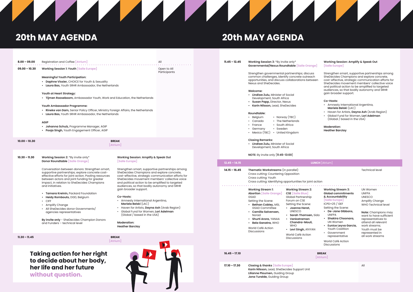| $8.00 - 09.00$ | Registration and Coffee [Atrium]                                                                                                                                                                                                                                                                                                                                                                                                                                                                                                                                                                                   |                                                                                                                                                                                               | All                         |  |  |  |  |
|----------------|--------------------------------------------------------------------------------------------------------------------------------------------------------------------------------------------------------------------------------------------------------------------------------------------------------------------------------------------------------------------------------------------------------------------------------------------------------------------------------------------------------------------------------------------------------------------------------------------------------------------|-----------------------------------------------------------------------------------------------------------------------------------------------------------------------------------------------|-----------------------------|--|--|--|--|
| 09.00 - 10.30  | <b>Working Session 1: Youth [Salle Europe]</b>                                                                                                                                                                                                                                                                                                                                                                                                                                                                                                                                                                     |                                                                                                                                                                                               | Open to All<br>Participants |  |  |  |  |
|                | <b>Meaningful Youth Participation:</b><br>• Daphne Vissier, CHOICE for Youth & Sexuality<br>• Laura Bas, Youth SRHR Ambassador, the Netherlands<br><b>Youth at Heart Strategy:</b><br>. Tijmen Rooseboom, Ambassador Youth, Work and Education, the Netherlands<br>Youth Ambassador Programme:<br>• Rineke van Dam, Senior Policy Officer, Ministry Foreign Affairs, the Netherlands<br>Laura Bas, Youth SRHR Ambassador, the Netherlands<br><b>AGIP</b>                                                                                                                                                           |                                                                                                                                                                                               |                             |  |  |  |  |
|                | • Johanna Schulz, Programme Manager, AGIP<br><b>Pooja Singh, Youth Engagement Officer, AGIP</b>                                                                                                                                                                                                                                                                                                                                                                                                                                                                                                                    |                                                                                                                                                                                               |                             |  |  |  |  |
| 10.00 - 10.30  | <b>BREAK</b><br>[Atrium]                                                                                                                                                                                                                                                                                                                                                                                                                                                                                                                                                                                           |                                                                                                                                                                                               |                             |  |  |  |  |
| 10.30 - 11.30  | Working Session 2: *By invite only*<br>Donor Roundtable [Salle Orange]                                                                                                                                                                                                                                                                                                                                                                                                                                                                                                                                             | <b>Working Session: Amplify &amp; Speak Out</b><br>[Salle Europe]                                                                                                                             |                             |  |  |  |  |
|                | Conversation between donors: Strengthen smart,<br>Strengthen smart, supportive partnerships among<br>SheDecides Champions and explore concrete,<br>supportive partnerships; explore concrete cost-<br>effective efforts for joint action. Pooling resources<br>cost-effective, strategic communication efforts for<br>between actors and joint funding for greater<br>SheDecides movement members' collective voice<br>impact, in relation to SheDecides Champions<br>and political action to be amplified to targeted<br>and initiatives.<br>audiences, so that bodily autonomy and SRHR<br>gain broader support. |                                                                                                                                                                                               |                             |  |  |  |  |
|                | • Tamara Kreinin, Packard Foundation<br>• Heidy Rombouts, DGD, Belgium<br>$\cdot$ CIFF<br><b>Amplify Change</b><br>• All SheDecides donor Governments/<br>agencies representatives                                                                                                                                                                                                                                                                                                                                                                                                                                 | Co-Hosts:<br>• Amnesty International Argentina,<br>Mariela Belski (LAC)<br>• Haven for Artists, Dayna Ash (Arab Region)<br>Global Fund for Women, Lori Adelman<br>(Global / based in the USA) |                             |  |  |  |  |
|                | By invite only - SheDecides Champion Donors<br>and Funders - technical level                                                                                                                                                                                                                                                                                                                                                                                                                                                                                                                                       | <b>Moderation:</b><br><b>Heather Barclay</b>                                                                                                                                                  |                             |  |  |  |  |
| 11.30 – 11.45  |                                                                                                                                                                                                                                                                                                                                                                                                                                                                                                                                                                                                                    | <b>BREAK</b><br>[Atrium]                                                                                                                                                                      | NN                          |  |  |  |  |

**11.45 – 12.45 Working Session 3:** \*By invite only\* **Governmental/Nexus Roundtable [Salle Orange]**

> Strengthen governmental partnerships; discuss common challenges, identify concrete outreach opportunities, and discuss collaborations between Nexus and SheDecides.

## **Welcome:**

- **• Lindiwe Zulu,** Minister of Social Development, South Africa
- **• Susan Papp,** Director, Nexus
- **• Karin Nilsson,** Lead, SheDecides

# **Roundtable:**

- Belgium Norway (TBC)<br>• Canada The Netherland
- Canada The Netherlands<br>• France South Africa
	- South Africa
- Germany Sweden
- Mexico (TBC) United Kingdom

# **Closing Remarks:**

**• Lindiwe Zulu,** Minister of Social Development, South Africa

# **NOTE:** By invite only [**11:45-13:00**]

# **Working Session: Amplify & Speak Out [Salle Europe]**

Strengthen smart, supportive partnerships among SheDecides Champions and explore concrete, cost-effective, strategic communication efforts for SheDecides movement members' collective voice and political action to be amplified to targeted audiences, so that bodily autonomy and SRHR gain broader support.

## **Co-Hosts:**

- Amnesty International Argentina, **Mariela Belski** (LAC)
- Haven for Artists, **Dayna Ash** (Arab Region)
- Global Fund for Women, **Lori Adelman** (Global / based in the USA)

**Moderation: Heather Barclay**

# **INCH** [Atrium]

# Technical level

# nt action

| $12.45 - 14.15$ |                                                                                                                                                                                                                                                                           |                                                                                                                                                                                                                                                                                    | <b>LUNCH</b> [Atrium]                                                                                                                                                           |  |  |
|-----------------|---------------------------------------------------------------------------------------------------------------------------------------------------------------------------------------------------------------------------------------------------------------------------|------------------------------------------------------------------------------------------------------------------------------------------------------------------------------------------------------------------------------------------------------------------------------------|---------------------------------------------------------------------------------------------------------------------------------------------------------------------------------|--|--|
| $14.15 - 16.45$ | Thematic Workstreams (in parallel)<br>Cross cutting: Countering Opposition<br>Cross cutting: Youth<br>Cross cutting: Identifying opportunities for joint action                                                                                                           |                                                                                                                                                                                                                                                                                    |                                                                                                                                                                                 |  |  |
|                 | <b>Working Stream 1:</b><br><b>Abortion</b> [Salle Orange]<br>GSAD<br>Setting the Scene:<br>Bethan Cobley, MSI,<br><b>GSAD Committee</b><br>• Camilla Salvensen,<br>Norad<br>• Shurti Arora, YANAA<br><b>Bela Ganatra, WHO</b><br>World Café Action<br><b>Discussions</b> | <b>Working Stream 2:</b><br>CSE Salle Blue<br>Global Partnership<br>Forum on CSE<br>Setting the Scene:<br>Joanna Herat.<br><b>UNESCO</b><br>Sarah Thomsen, Sida<br>• Venkatraman<br>Chandra-Mouli,<br><b>WHO</b><br>Levi Singh, AfriYAN<br>World Café Action<br><b>Discussions</b> | Workir<br>Global<br>& Acco<br><b>Salle</b><br>$ICPD+2$<br>Setting<br>De-<br><b>UNF</b><br>$\cdot$ Sha<br>UN <sup>1</sup><br>Eun<br>You<br>Gov<br>repi<br>World<br><b>Discus</b> |  |  |
| $16.45 - 17.10$ |                                                                                                                                                                                                                                                                           |                                                                                                                                                                                                                                                                                    | <b>BREAK</b><br>[Atrium]                                                                                                                                                        |  |  |
| $17.10 - 17.30$ | <b>Closing &amp; thanks [Salle Europe]</b><br>Karin Nilsson, Lead, SheDecides Support Unit<br>Lilianne Ploumen, Guiding Group                                                                                                                                             |                                                                                                                                                                                                                                                                                    |                                                                                                                                                                                 |  |  |

**Working Stream 3: Global commitments & Accountability [Salle Europe]** ICPD+25 / GEF Setting the Scene: **• De-Jane Gibbons,**  UNFPA **• Shakira Choonara,**

- UN Women
- **• Eunice Leyva Garcia,** Youth Coalition
- Government representative

World Café Action Discussions

UN Women UNFPA UNESCO Amplify Change WHO Technical level

. . . . . . . . . . . . . . . . . . .

**Note:** Champions may want to have sufficient representatives to attend all relevant work streams; Youth must be represented in all work streams

# $\overline{\phantom{a}}$

# **20th MAY AGENDA 20th MAY AGENDA**

**Jona Turalde,** Guiding Group

# **Taking action for her right to decide about her body, her life and her future without question.**